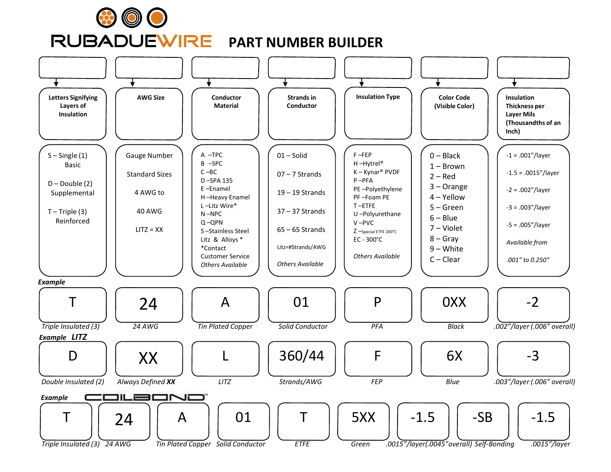

# **PART NUMBER BUILDER**